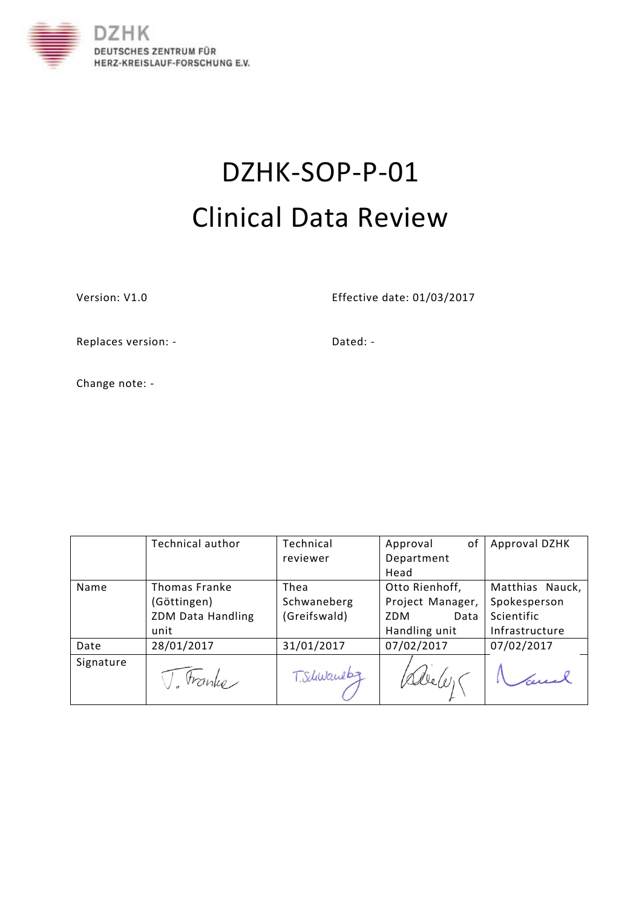

# DZHK-SOP-P-01 Clinical Data Review

Version: V1.0 Effective date: 01/03/2017

Replaces version: - The Contract of the Dated: -

Change note: -

|           | <b>Technical author</b>  | Technical    | of<br>Approval   | Approval DZHK   |
|-----------|--------------------------|--------------|------------------|-----------------|
|           |                          | reviewer     | Department       |                 |
|           |                          |              | Head             |                 |
| Name      | <b>Thomas Franke</b>     | Thea         | Otto Rienhoff,   | Matthias Nauck, |
|           | (Göttingen)              | Schwaneberg  | Project Manager, | Spokesperson    |
|           | <b>ZDM Data Handling</b> | (Greifswald) | ZDM<br>Data      | Scientific      |
|           | unit                     |              | Handling unit    | Infrastructure  |
| Date      | 28/01/2017               | 31/01/2017   | 07/02/2017       | 07/02/2017      |
| Signature | tranko                   | T. Schwauebz |                  |                 |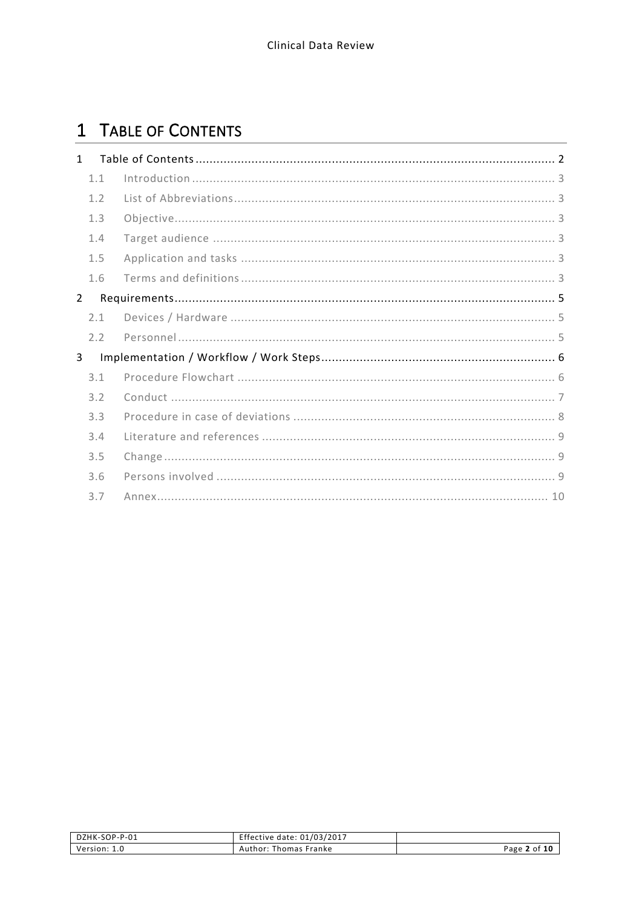# <span id="page-1-0"></span>1 TABLE OF CONTENTS

| $\mathbf{1}$   |     |  |
|----------------|-----|--|
|                | 1.1 |  |
|                | 1.2 |  |
|                | 1.3 |  |
|                | 1.4 |  |
|                | 1.5 |  |
|                | 1.6 |  |
| $\overline{2}$ |     |  |
|                | 2.1 |  |
|                | 2.2 |  |
| 3              |     |  |
|                | 3.1 |  |
|                | 3.2 |  |
|                | 3.3 |  |
|                | 3.4 |  |
|                | 3.5 |  |
|                | 3.6 |  |
|                | 3.7 |  |

| DZHK-SOP-P-01 | Effective date: 01/03/2017 |              |
|---------------|----------------------------|--------------|
| Version: 1.0  | Author: Thomas Franke      | Page 2 of 10 |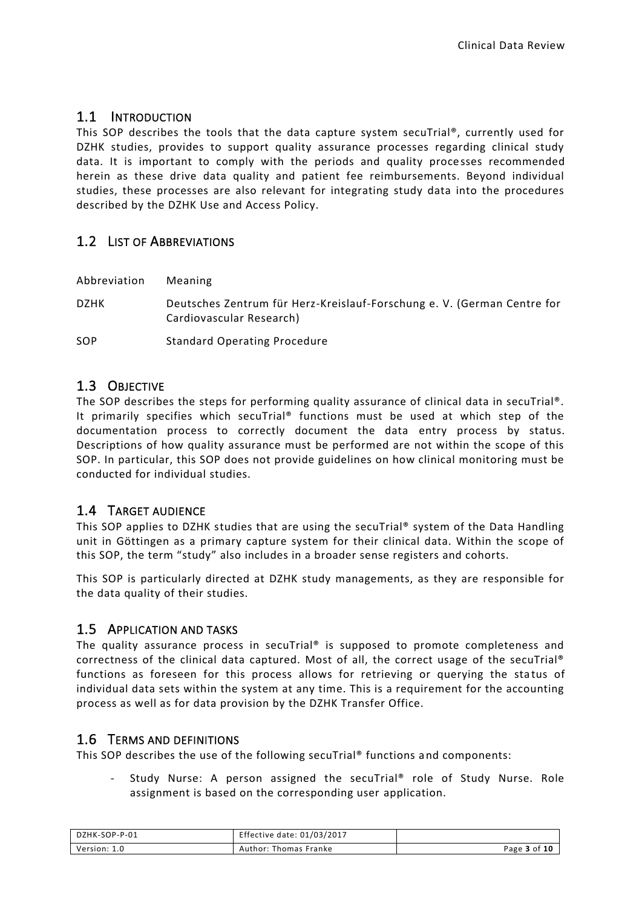### <span id="page-2-0"></span>1.1 INTRODUCTION

This SOP describes the tools that the data capture system secuTrial®, currently used for DZHK studies, provides to support quality assurance processes regarding clinical study data. It is important to comply with the periods and quality processes recommended herein as these drive data quality and patient fee reimbursements. Beyond individual studies, these processes are also relevant for integrating study data into the procedures described by the DZHK Use and Access Policy.

## <span id="page-2-1"></span>1.2 LIST OF ABBREVIATIONS

Abbreviation Meaning

DZHK Deutsches Zentrum für Herz-Kreislauf-Forschung e. V. (German Centre for Cardiovascular Research)

SOP Standard Operating Procedure

#### <span id="page-2-2"></span>1.3 OBJECTIVE

The SOP describes the steps for performing quality assurance of clinical data in secuTrial<sup>®</sup>. It primarily specifies which secuTrial® functions must be used at which step of the documentation process to correctly document the data entry process by status. Descriptions of how quality assurance must be performed are not within the scope of this SOP. In particular, this SOP does not provide guidelines on how clinical monitoring must be conducted for individual studies.

#### <span id="page-2-3"></span>1.4 TARGET AUDIENCE

This SOP applies to DZHK studies that are using the secuTrial® system of the Data Handling unit in Göttingen as a primary capture system for their clinical data. Within the scope of this SOP, the term "study" also includes in a broader sense registers and cohorts.

This SOP is particularly directed at DZHK study managements, as they are responsible for the data quality of their studies.

#### <span id="page-2-4"></span>1.5 APPLICATION AND TASKS

The quality assurance process in secuTrial® is supposed to promote completeness and correctness of the clinical data captured. Most of all, the correct usage of the secuTrial® functions as foreseen for this process allows for retrieving or querying the status of individual data sets within the system at any time. This is a requirement for the accounting process as well as for data provision by the DZHK Transfer Office.

#### <span id="page-2-5"></span>1.6 TERMS AND DEFINITIONS

This SOP describes the use of the following secuTrial® functions and components:

Study Nurse: A person assigned the secuTrial® role of Study Nurse. Role assignment is based on the corresponding user application.

| DZHK-SOP-P-01 | Effective date: 01/03/2017 |              |
|---------------|----------------------------|--------------|
| Version: 1.0  | Author: Thomas Franke      | Page 3 of 10 |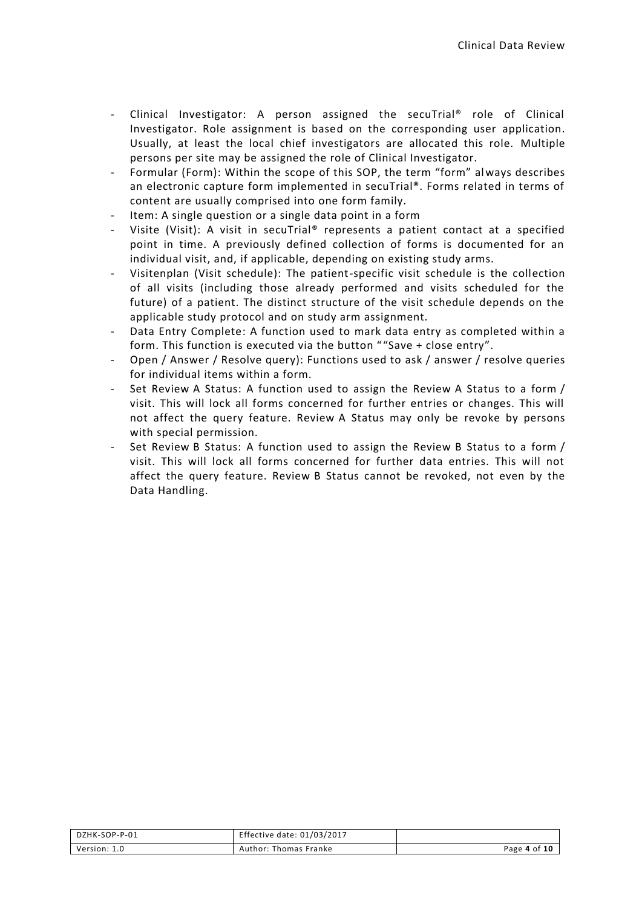- Clinical Investigator: A person assigned the secuTrial® role of Clinical Investigator. Role assignment is based on the corresponding user application. Usually, at least the local chief investigators are allocated this role. Multiple persons per site may be assigned the role of Clinical Investigator.
- Formular (Form): Within the scope of this SOP, the term "form" always describes an electronic capture form implemented in secuTrial®. Forms related in terms of content are usually comprised into one form family.
- Item: A single question or a single data point in a form
- Visite (Visit): A visit in secuTrial® represents a patient contact at a specified point in time. A previously defined collection of forms is documented for an individual visit, and, if applicable, depending on existing study arms.
- Visitenplan (Visit schedule): The patient-specific visit schedule is the collection of all visits (including those already performed and visits scheduled for the future) of a patient. The distinct structure of the visit schedule depends on the applicable study protocol and on study arm assignment.
- Data Entry Complete: A function used to mark data entry as completed within a form. This function is executed via the button " "Save + close entry".
- Open / Answer / Resolve query): Functions used to ask / answer / resolve queries for individual items within a form.
- Set Review A Status: A function used to assign the Review A Status to a form / visit. This will lock all forms concerned for further entries or changes. This will not affect the query feature. Review A Status may only be revoke by persons with special permission.
- Set Review B Status: A function used to assign the Review B Status to a form / visit. This will lock all forms concerned for further data entries. This will not affect the query feature. Review B Status cannot be revoked, not even by the Data Handling.

| DZHK-SOP-P-01 | Effective date: 01/03/2017 |              |
|---------------|----------------------------|--------------|
| Version: 1.0  | Author: Thomas Franke      | Page 4 of 10 |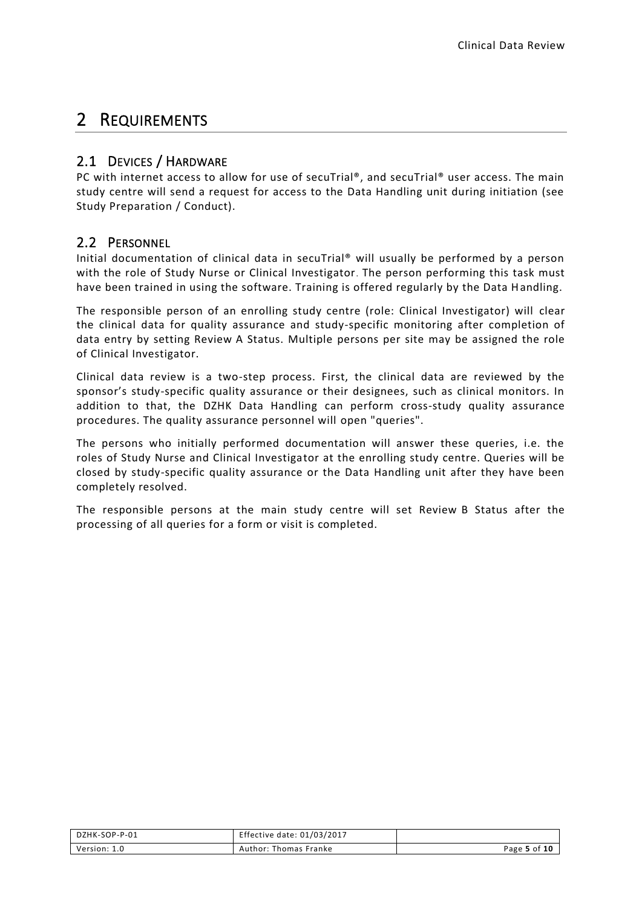# <span id="page-4-0"></span>2 REQUIREMENTS

# <span id="page-4-1"></span>2.1 DEVICES / HARDWARE

PC with internet access to allow for use of secuTrial®, and secuTrial® user access. The main study centre will send a request for access to the Data Handling unit during initiation (see Study Preparation / Conduct).

## <span id="page-4-2"></span>2.2 PERSONNEL

Initial documentation of clinical data in secuTrial® will usually be performed by a person with the role of Study Nurse or Clinical Investigator. The person performing this task must have been trained in using the software. Training is offered regularly by the Data Handling.

The responsible person of an enrolling study centre (role: Clinical Investigator) will clear the clinical data for quality assurance and study-specific monitoring after completion of data entry by setting Review A Status. Multiple persons per site may be assigned the role of Clinical Investigator.

Clinical data review is a two-step process. First, the clinical data are reviewed by the sponsor's study-specific quality assurance or their designees, such as clinical monitors. In addition to that, the DZHK Data Handling can perform cross-study quality assurance procedures. The quality assurance personnel will open "queries".

The persons who initially performed documentation will answer these queries, i.e. the roles of Study Nurse and Clinical Investigator at the enrolling study centre. Queries will be closed by study-specific quality assurance or the Data Handling unit after they have been completely resolved.

The responsible persons at the main study centre will set Review B Status after the processing of all queries for a form or visit is completed.

| DZHK-SOP-P-01 | Effective date: 01/03/2017 |              |
|---------------|----------------------------|--------------|
| Version: 1.0  | Author: Thomas Franke      | Page 5 of 10 |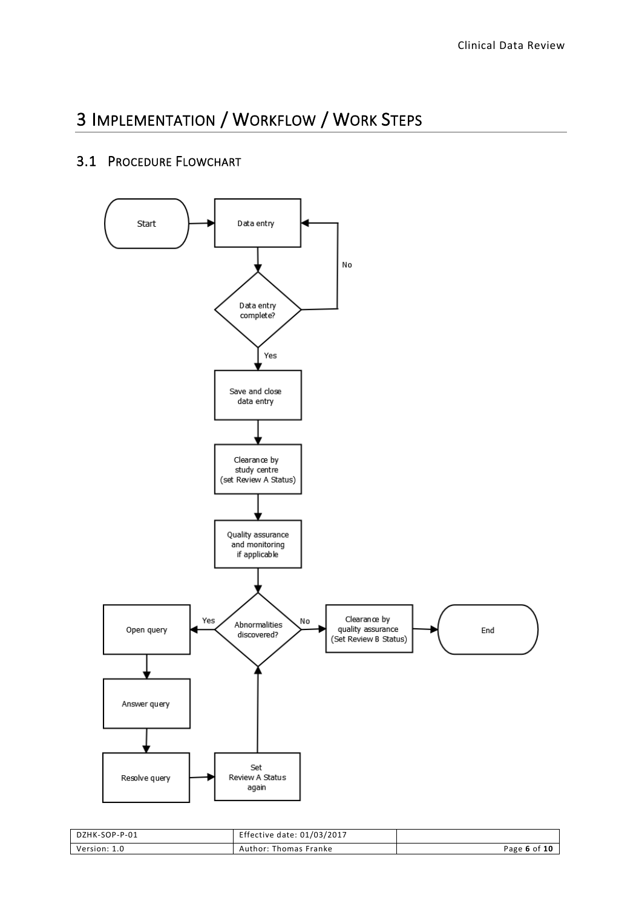# <span id="page-5-0"></span>3 IMPLEMENTATION / WORKFLOW / WORK STEPS

## <span id="page-5-1"></span>3.1 PROCEDURE FLOWCHART



| DZHK-SOP-P-01 | Effective date: 01/03/2017 |              |
|---------------|----------------------------|--------------|
| Version: 1.0  | Author: Thomas Franke      | Page 6 of 10 |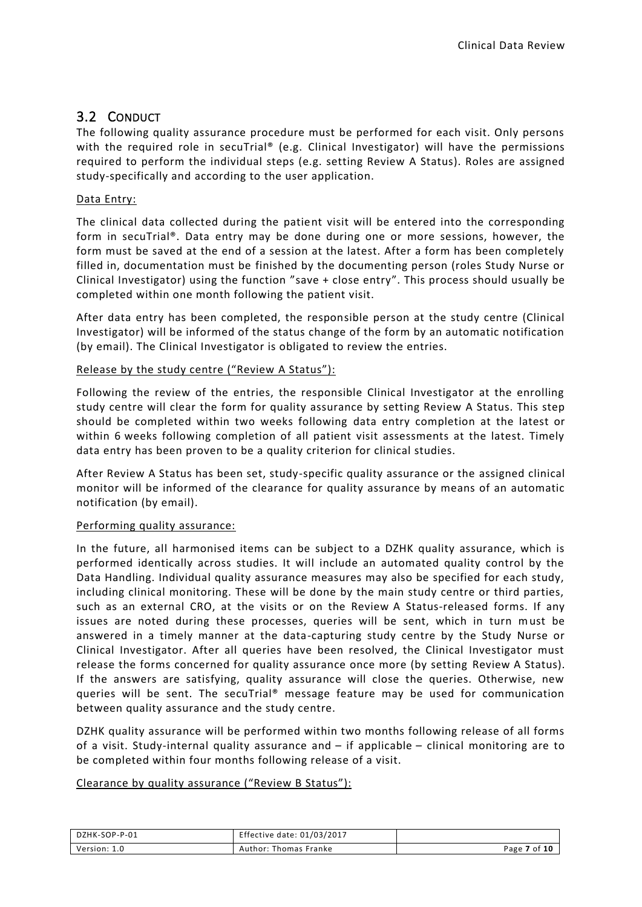# <span id="page-6-0"></span>3.2 CONDUCT

The following quality assurance procedure must be performed for each visit. Only persons with the required role in secuTrial® (e.g. Clinical Investigator) will have the permissions required to perform the individual steps (e.g. setting Review A Status). Roles are assigned study-specifically and according to the user application.

#### Data Entry:

The clinical data collected during the patient visit will be entered into the corresponding form in secuTrial®. Data entry may be done during one or more sessions, however, the form must be saved at the end of a session at the latest. After a form has been completely filled in, documentation must be finished by the documenting person (roles Study Nurse or Clinical Investigator) using the function "save + close entry". This process should usually be completed within one month following the patient visit.

After data entry has been completed, the responsible person at the study centre (Clinical Investigator) will be informed of the status change of the form by an automatic notification (by email). The Clinical Investigator is obligated to review the entries.

#### Release by the study centre ("Review A Status"):

Following the review of the entries, the responsible Clinical Investigator at the enrolling study centre will clear the form for quality assurance by setting Review A Status. This step should be completed within two weeks following data entry completion at the latest or within 6 weeks following completion of all patient visit assessments at the latest. Timely data entry has been proven to be a quality criterion for clinical studies.

After Review A Status has been set, study-specific quality assurance or the assigned clinical monitor will be informed of the clearance for quality assurance by means of an automatic notification (by email).

#### Performing quality assurance:

In the future, all harmonised items can be subject to a DZHK quality assurance, which is performed identically across studies. It will include an automated quality control by the Data Handling. Individual quality assurance measures may also be specified for each study, including clinical monitoring. These will be done by the main study centre or third parties, such as an external CRO, at the visits or on the Review A Status-released forms. If any issues are noted during these processes, queries will be sent, which in turn must be answered in a timely manner at the data-capturing study centre by the Study Nurse or Clinical Investigator. After all queries have been resolved, the Clinical Investigator must release the forms concerned for quality assurance once more (by setting Review A Status). If the answers are satisfying, quality assurance will close the queries. Otherwise, new queries will be sent. The secuTrial® message feature may be used for communication between quality assurance and the study centre.

DZHK quality assurance will be performed within two months following release of all forms of a visit. Study-internal quality assurance and – if applicable – clinical monitoring are to be completed within four months following release of a visit.

#### Clearance by quality assurance ("Review B Status"):

| DZHK-SOP-P-01 | Effective date: 01/03/2017 |              |
|---------------|----------------------------|--------------|
| Version: 1.0  | Author: Thomas Franke      | Page 7 of 10 |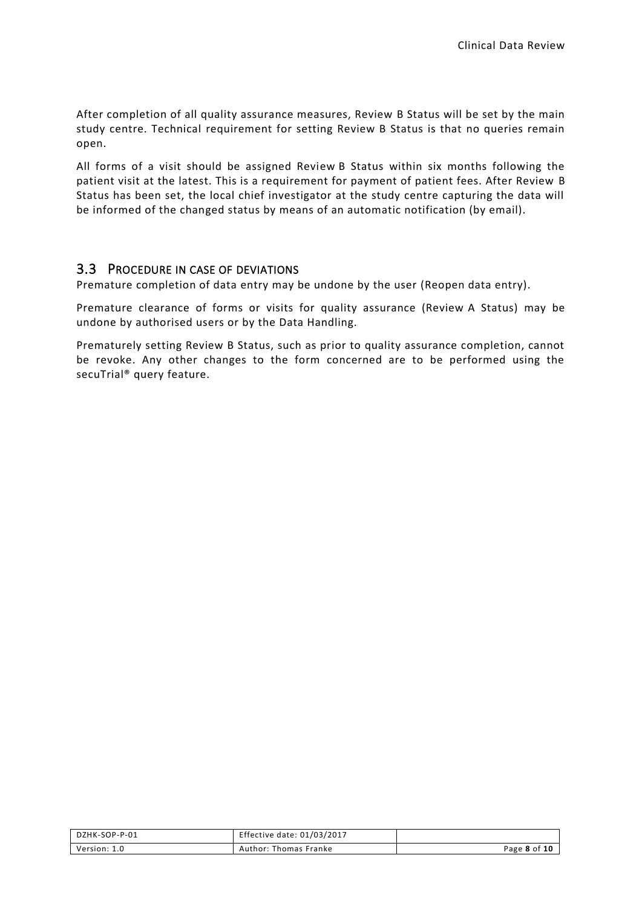After completion of all quality assurance measures, Review B Status will be set by the main study centre. Technical requirement for setting Review B Status is that no queries remain open.

All forms of a visit should be assigned Review B Status within six months following the patient visit at the latest. This is a requirement for payment of patient fees. After Review B Status has been set, the local chief investigator at the study centre capturing the data will be informed of the changed status by means of an automatic notification (by email).

#### <span id="page-7-0"></span>3.3 PROCEDURE IN CASE OF DEVIATIONS

Premature completion of data entry may be undone by the user (Reopen data entry).

Premature clearance of forms or visits for quality assurance (Review A Status) may be undone by authorised users or by the Data Handling.

Prematurely setting Review B Status, such as prior to quality assurance completion, cannot be revoke. Any other changes to the form concerned are to be performed using the secuTrial® query feature.

| DZHK-SOP-P-01 | Effective date: 01/03/2017 |              |
|---------------|----------------------------|--------------|
| Version: 1.0  | Author: Thomas Franke      | Page 8 of 10 |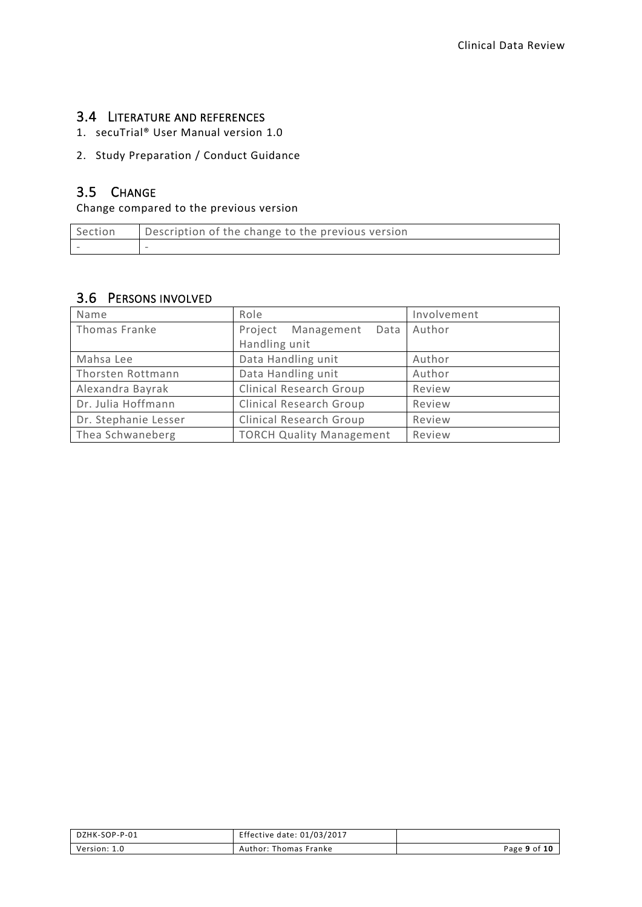#### <span id="page-8-0"></span>3.4 LITERATURE AND REFERENCES

1. secuTrial® User Manual version 1.0

#### 2. Study Preparation / Conduct Guidance

# <span id="page-8-1"></span>3.5 CHANGE

Change compared to the previous version

| Section | Description of the change to the previous version |
|---------|---------------------------------------------------|
|         |                                                   |

## <span id="page-8-2"></span>3.6 PERSONS INVOLVED

| Name                 | Role                            | Involvement |
|----------------------|---------------------------------|-------------|
| Thomas Franke        | Project Management<br>Data      | Author      |
|                      | Handling unit                   |             |
| Mahsa Lee            | Data Handling unit              | Author      |
| Thorsten Rottmann    | Data Handling unit              | Author      |
| Alexandra Bayrak     | <b>Clinical Research Group</b>  | Review      |
| Dr. Julia Hoffmann   | <b>Clinical Research Group</b>  | Review      |
| Dr. Stephanie Lesser | <b>Clinical Research Group</b>  | Review      |
| Thea Schwaneberg     | <b>TORCH Quality Management</b> | Review      |

| DZHK-SOP-P-01 | Effective date: 01/03/2017 |              |
|---------------|----------------------------|--------------|
| Version: 1.0  | Author: Thomas Franke      | Page 9 of 10 |